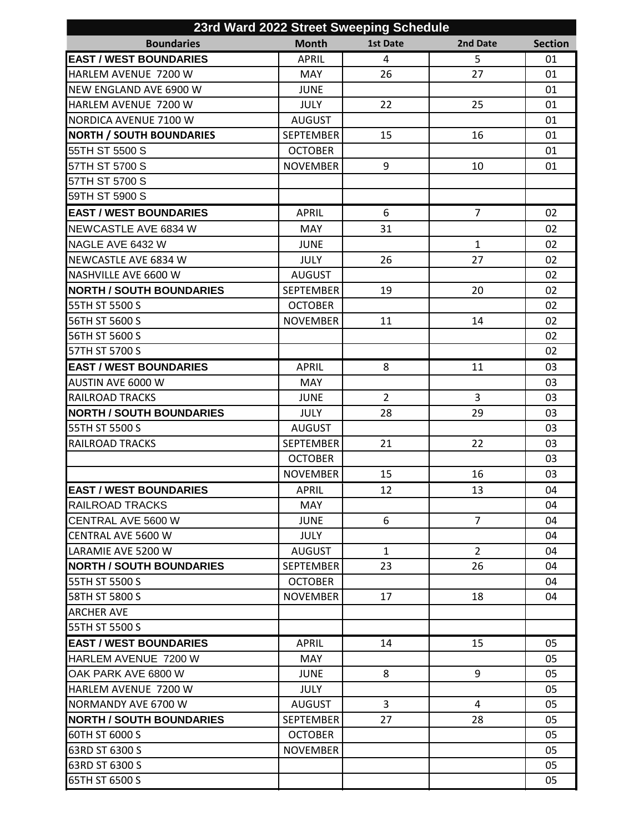| 23rd Ward 2022 Street Sweeping Schedule                 |                  |                 |                |                |
|---------------------------------------------------------|------------------|-----------------|----------------|----------------|
| <b>Boundaries</b>                                       | <b>Month</b>     | <b>1st Date</b> | 2nd Date       | <b>Section</b> |
| <b>EAST / WEST BOUNDARIES</b>                           | <b>APRIL</b>     | 4               | 5              | 01             |
| HARLEM AVENUE 7200 W                                    | <b>MAY</b>       | 26              | 27             | 01             |
| NEW ENGLAND AVE 6900 W                                  | <b>JUNE</b>      |                 |                | 01             |
| HARLEM AVENUE 7200 W                                    | <b>JULY</b>      | 22              | 25             | 01             |
| NORDICA AVENUE 7100 W                                   | <b>AUGUST</b>    |                 |                | 01             |
| <b>NORTH / SOUTH BOUNDARIES</b>                         | <b>SEPTEMBER</b> | 15              | 16             | 01             |
| 55TH ST 5500 S                                          | <b>OCTOBER</b>   |                 |                | 01             |
| 57TH ST 5700 S                                          | <b>NOVEMBER</b>  | 9               | 10             | 01             |
| 57TH ST 5700 S                                          |                  |                 |                |                |
| 59TH ST 5900 S                                          |                  |                 |                |                |
| <b>EAST / WEST BOUNDARIES</b>                           | <b>APRIL</b>     | 6               | $\overline{7}$ | 02             |
| NEWCASTLE AVE 6834 W                                    | MAY              | 31              |                | 02             |
| NAGLE AVE 6432 W                                        | <b>JUNE</b>      |                 | $\mathbf{1}$   | 02             |
| NEWCASTLE AVE 6834 W                                    | <b>JULY</b>      | 26              | 27             | 02             |
| NASHVILLE AVE 6600 W                                    | <b>AUGUST</b>    |                 |                | 02             |
| <b>NORTH / SOUTH BOUNDARIES</b>                         | <b>SEPTEMBER</b> | 19              | 20             | 02             |
| 55TH ST 5500 S                                          | <b>OCTOBER</b>   |                 |                | 02             |
| 56TH ST 5600 S                                          | <b>NOVEMBER</b>  | 11              | 14             | 02             |
| 56TH ST 5600 S                                          |                  |                 |                | 02             |
| 57TH ST 5700 S                                          |                  |                 |                | 02             |
| <b>EAST / WEST BOUNDARIES</b>                           | <b>APRIL</b>     | 8               | 11             | 03             |
| AUSTIN AVE 6000 W                                       | <b>MAY</b>       |                 |                | 03             |
| <b>RAILROAD TRACKS</b>                                  | <b>JUNE</b>      | $\overline{2}$  | $\overline{3}$ | 03             |
| <b>NORTH / SOUTH BOUNDARIES</b>                         | <b>JULY</b>      | 28              | 29             | 03             |
| 55TH ST 5500 S                                          | <b>AUGUST</b>    |                 |                | 03             |
| <b>RAILROAD TRACKS</b>                                  | <b>SEPTEMBER</b> | 21              | 22             | 03             |
|                                                         | <b>OCTOBER</b>   |                 |                | 03             |
|                                                         | <b>NOVEMBER</b>  | 15              | 16             | 03             |
|                                                         |                  |                 |                |                |
| <b>EAST / WEST BOUNDARIES</b><br><b>RAILROAD TRACKS</b> | APRIL            | 12              | 13             | 04<br>04       |
| CENTRAL AVE 5600 W                                      | MAY              |                 | $\overline{7}$ |                |
|                                                         | <b>JUNE</b>      | 6               |                | 04             |
| <b>CENTRAL AVE 5600 W</b>                               | <b>JULY</b>      |                 |                | 04             |
| LARAMIE AVE 5200 W                                      | <b>AUGUST</b>    | $\mathbf{1}$    | $\overline{2}$ | 04             |
| <b>NORTH / SOUTH BOUNDARIES</b>                         | <b>SEPTEMBER</b> | 23              | 26             | 04             |
| 55TH ST 5500 S                                          | <b>OCTOBER</b>   |                 |                | 04             |
| 58TH ST 5800 S                                          | <b>NOVEMBER</b>  | 17              | 18             | 04             |
| <b>ARCHER AVE</b>                                       |                  |                 |                |                |
| 55TH ST 5500 S                                          |                  |                 |                |                |
| <b>EAST / WEST BOUNDARIES</b>                           | <b>APRIL</b>     | 14              | 15             | 05             |
| HARLEM AVENUE 7200 W                                    | <b>MAY</b>       |                 |                | 05             |
| OAK PARK AVE 6800 W                                     | <b>JUNE</b>      | 8               | 9              | 05             |
| <b>HARLEM AVENUE 7200 W</b>                             | <b>JULY</b>      |                 |                | 05             |
| NORMANDY AVE 6700 W                                     | <b>AUGUST</b>    | 3               | 4              | 05             |
| <b>NORTH / SOUTH BOUNDARIES</b>                         | <b>SEPTEMBER</b> | 27              | 28             | 05             |
| 60TH ST 6000 S                                          | <b>OCTOBER</b>   |                 |                | 05             |
| 63RD ST 6300 S                                          | <b>NOVEMBER</b>  |                 |                | 05             |
| 63RD ST 6300 S                                          |                  |                 |                | 05             |
| 65TH ST 6500 S                                          |                  |                 |                | 05             |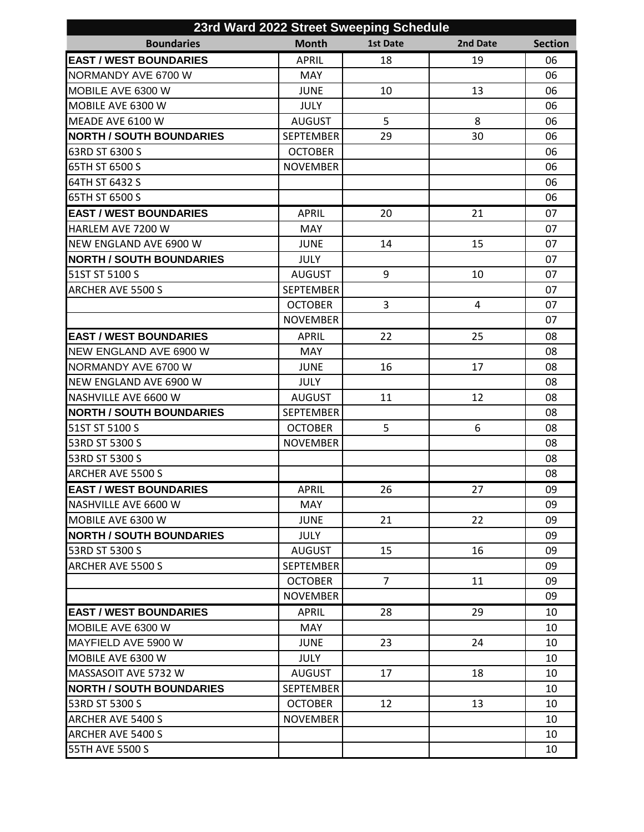| 23rd Ward 2022 Street Sweeping Schedule |                  |                 |          |                |
|-----------------------------------------|------------------|-----------------|----------|----------------|
| <b>Boundaries</b>                       | <b>Month</b>     | <b>1st Date</b> | 2nd Date | <b>Section</b> |
| <b>EAST / WEST BOUNDARIES</b>           | <b>APRIL</b>     | 18              | 19       | 06             |
| NORMANDY AVE 6700 W                     | <b>MAY</b>       |                 |          | 06             |
| MOBILE AVE 6300 W                       | <b>JUNE</b>      | 10              | 13       | 06             |
| MOBILE AVE 6300 W                       | <b>JULY</b>      |                 |          | 06             |
| MEADE AVE 6100 W                        | <b>AUGUST</b>    | 5               | 8        | 06             |
| <b>NORTH / SOUTH BOUNDARIES</b>         | <b>SEPTEMBER</b> | 29              | 30       | 06             |
| 63RD ST 6300 S                          | <b>OCTOBER</b>   |                 |          | 06             |
| 65TH ST 6500 S                          | <b>NOVEMBER</b>  |                 |          | 06             |
| 64TH ST 6432 S                          |                  |                 |          | 06             |
| 65TH ST 6500 S                          |                  |                 |          | 06             |
| <b>EAST / WEST BOUNDARIES</b>           | <b>APRIL</b>     | 20              | 21       | 07             |
| HARLEM AVE 7200 W                       | <b>MAY</b>       |                 |          | 07             |
| NEW ENGLAND AVE 6900 W                  | <b>JUNE</b>      | 14              | 15       | 07             |
| <b>NORTH / SOUTH BOUNDARIES</b>         | <b>JULY</b>      |                 |          | 07             |
| 51ST ST 5100 S                          | <b>AUGUST</b>    | 9               | 10       | 07             |
| <b>ARCHER AVE 5500 S</b>                | <b>SEPTEMBER</b> |                 |          | 07             |
|                                         | <b>OCTOBER</b>   | 3               | 4        | 07             |
|                                         | <b>NOVEMBER</b>  |                 |          | 07             |
| <b>EAST / WEST BOUNDARIES</b>           | <b>APRIL</b>     | 22              | 25       | 08             |
| NEW ENGLAND AVE 6900 W                  | <b>MAY</b>       |                 |          | 08             |
| NORMANDY AVE 6700 W                     | <b>JUNE</b>      | 16              | 17       | 08             |
| NEW ENGLAND AVE 6900 W                  | <b>JULY</b>      |                 |          | 08             |
| NASHVILLE AVE 6600 W                    | <b>AUGUST</b>    | 11              | 12       | 08             |
| <b>NORTH / SOUTH BOUNDARIES</b>         | <b>SEPTEMBER</b> |                 |          | 08             |
| 51ST ST 5100 S                          | <b>OCTOBER</b>   | 5               | 6        | 08             |
| 53RD ST 5300 S                          | <b>NOVEMBER</b>  |                 |          | 08             |
| 53RD ST 5300 S                          |                  |                 |          | 08             |
| <b>ARCHER AVE 5500 S</b>                |                  |                 |          | 08             |
| <b>EAST / WEST BOUNDARIES</b>           | APRIL            | 26              | 27       | 09             |
| NASHVILLE AVE 6600 W                    | <b>MAY</b>       |                 |          | 09             |
| MOBILE AVE 6300 W                       | <b>JUNE</b>      | 21              | 22       | 09             |
| <b>NORTH / SOUTH BOUNDARIES</b>         | <b>JULY</b>      |                 |          | 09             |
| 53RD ST 5300 S                          | <b>AUGUST</b>    | 15              | 16       | 09             |
| ARCHER AVE 5500 S                       | <b>SEPTEMBER</b> |                 |          | 09             |
|                                         | <b>OCTOBER</b>   | $\overline{7}$  | 11       | 09             |
|                                         | <b>NOVEMBER</b>  |                 |          | 09             |
| <b>EAST / WEST BOUNDARIES</b>           | <b>APRIL</b>     | 28              | 29       | 10             |
| MOBILE AVE 6300 W                       | MAY              |                 |          | 10             |
| MAYFIELD AVE 5900 W                     | <b>JUNE</b>      | 23              | 24       | 10             |
| MOBILE AVE 6300 W                       | <b>JULY</b>      |                 |          | 10             |
| MASSASOIT AVE 5732 W                    | <b>AUGUST</b>    | 17              | 18       | 10             |
| <b>NORTH / SOUTH BOUNDARIES</b>         | <b>SEPTEMBER</b> |                 |          | 10             |
| 53RD ST 5300 S                          | <b>OCTOBER</b>   | 12              | 13       | 10             |
| <b>ARCHER AVE 5400 S</b>                | <b>NOVEMBER</b>  |                 |          | 10             |
| <b>ARCHER AVE 5400 S</b>                |                  |                 |          | 10             |
| 55TH AVE 5500 S                         |                  |                 |          | 10             |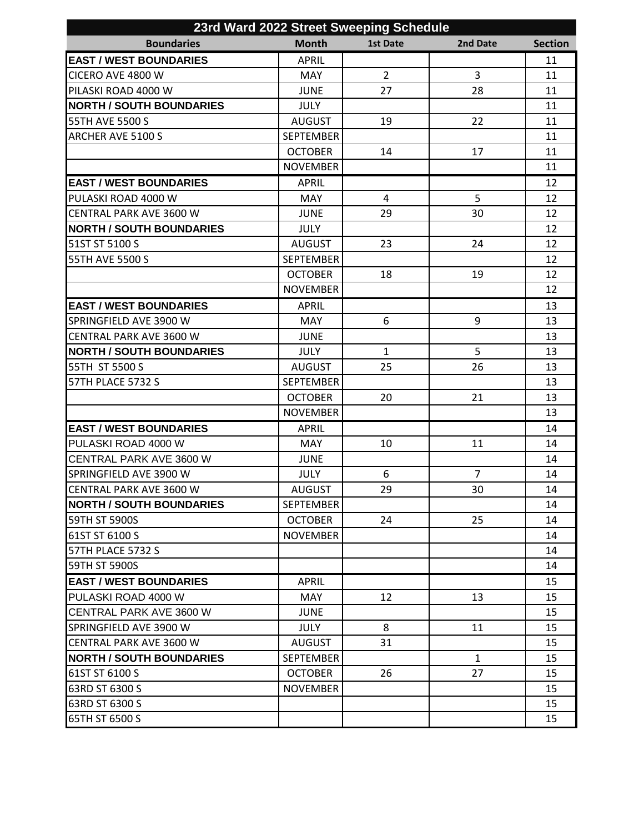| 23rd Ward 2022 Street Sweeping Schedule |                  |                 |                |                |
|-----------------------------------------|------------------|-----------------|----------------|----------------|
| <b>Boundaries</b>                       | <b>Month</b>     | <b>1st Date</b> | 2nd Date       | <b>Section</b> |
| <b>EAST / WEST BOUNDARIES</b>           | <b>APRIL</b>     |                 |                | 11             |
| CICERO AVE 4800 W                       | MAY              | $\overline{2}$  | $\overline{3}$ | 11             |
| PILASKI ROAD 4000 W                     | <b>JUNE</b>      | 27              | 28             | 11             |
| <b>NORTH / SOUTH BOUNDARIES</b>         | <b>JULY</b>      |                 |                | 11             |
| 55TH AVE 5500 S                         | <b>AUGUST</b>    | 19              | 22             | 11             |
| <b>ARCHER AVE 5100 S</b>                | <b>SEPTEMBER</b> |                 |                | 11             |
|                                         | <b>OCTOBER</b>   | 14              | 17             | 11             |
|                                         | <b>NOVEMBER</b>  |                 |                | 11             |
| <b>EAST / WEST BOUNDARIES</b>           | <b>APRIL</b>     |                 |                | 12             |
| PULASKI ROAD 4000 W                     | <b>MAY</b>       | 4               | 5              | 12             |
| CENTRAL PARK AVE 3600 W                 | <b>JUNE</b>      | 29              | 30             | 12             |
| <b>NORTH / SOUTH BOUNDARIES</b>         | <b>JULY</b>      |                 |                | 12             |
| 51ST ST 5100 S                          | <b>AUGUST</b>    | 23              | 24             | 12             |
| 55TH AVE 5500 S                         | <b>SEPTEMBER</b> |                 |                | 12             |
|                                         | <b>OCTOBER</b>   | 18              | 19             | 12             |
|                                         | <b>NOVEMBER</b>  |                 |                | 12             |
| <b>EAST / WEST BOUNDARIES</b>           | <b>APRIL</b>     |                 |                | 13             |
| SPRINGFIELD AVE 3900 W                  | MAY              | 6               | 9              | 13             |
| CENTRAL PARK AVE 3600 W                 | <b>JUNE</b>      |                 |                | 13             |
| <b>NORTH / SOUTH BOUNDARIES</b>         | <b>JULY</b>      | $\mathbf{1}$    | 5              | 13             |
| 55TH ST 5500 S                          | <b>AUGUST</b>    | 25              | 26             | 13             |
| 57TH PLACE 5732 S                       | <b>SEPTEMBER</b> |                 |                | 13             |
|                                         | <b>OCTOBER</b>   | 20              | 21             | 13             |
|                                         | <b>NOVEMBER</b>  |                 |                | 13             |
| <b>EAST / WEST BOUNDARIES</b>           | <b>APRIL</b>     |                 |                | 14             |
| PULASKI ROAD 4000 W                     | MAY              | 10              | 11             | 14             |
| CENTRAL PARK AVE 3600 W                 | <b>JUNE</b>      |                 |                | 14             |
| SPRINGFIELD AVE 3900 W                  | <b>JULY</b>      | 6               | $\overline{7}$ | 14             |
| CENTRAL PARK AVE 3600 W                 | AUGUST           | 29              | 30             | 14             |
| <b>NORTH / SOUTH BOUNDARIES</b>         | <b>SEPTEMBER</b> |                 |                | 14             |
| 59TH ST 5900S                           | <b>OCTOBER</b>   | 24              | 25             | 14             |
| 61ST ST 6100 S                          | <b>NOVEMBER</b>  |                 |                | 14             |
| 57TH PLACE 5732 S                       |                  |                 |                | 14             |
| 59TH ST 5900S                           |                  |                 |                | 14             |
| <b>EAST / WEST BOUNDARIES</b>           | <b>APRIL</b>     |                 |                | 15             |
| PULASKI ROAD 4000 W                     | MAY              | 12              | 13             | 15             |
| <b>CENTRAL PARK AVE 3600 W</b>          | JUNE             |                 |                | 15             |
| ISPRINGFIELD AVE 3900 W                 | JULY             | 8               | 11             | 15             |
| CENTRAL PARK AVE 3600 W                 | <b>AUGUST</b>    | 31              |                | 15             |
| <b>NORTH / SOUTH BOUNDARIES</b>         | <b>SEPTEMBER</b> |                 | $\mathbf{1}$   | 15             |
| 61ST ST 6100 S                          | <b>OCTOBER</b>   | 26              | 27             | 15             |
| 63RD ST 6300 S                          | <b>NOVEMBER</b>  |                 |                | 15             |
| 63RD ST 6300 S                          |                  |                 |                | 15             |
| 65TH ST 6500 S                          |                  |                 |                | 15             |